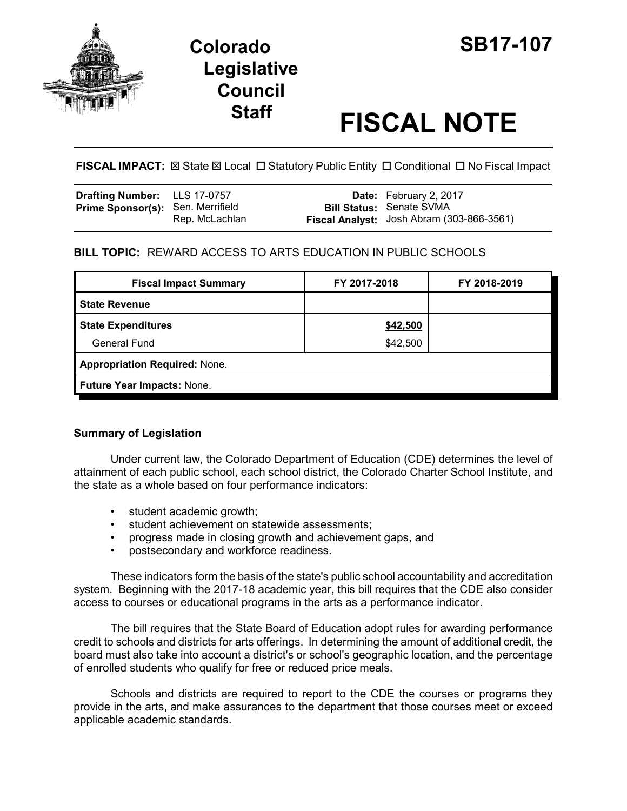

# **Legislative Council**

# **Staff FISCAL NOTE**

**FISCAL IMPACT:**  $\boxtimes$  **State**  $\boxtimes$  **Local □ Statutory Public Entity □ Conditional □ No Fiscal Impact** 

| Drafting Number: LLS 17-0757             |                | <b>Date:</b> February 2, 2017                                                |
|------------------------------------------|----------------|------------------------------------------------------------------------------|
| <b>Prime Sponsor(s): Sen. Merrifield</b> | Rep. McLachlan | <b>Bill Status: Senate SVMA</b><br>Fiscal Analyst: Josh Abram (303-866-3561) |

## **BILL TOPIC:** REWARD ACCESS TO ARTS EDUCATION IN PUBLIC SCHOOLS

| <b>Fiscal Impact Summary</b>         | FY 2017-2018 | FY 2018-2019 |  |  |  |
|--------------------------------------|--------------|--------------|--|--|--|
| <b>State Revenue</b>                 |              |              |  |  |  |
| <b>State Expenditures</b>            | \$42,500     |              |  |  |  |
| General Fund                         | \$42,500     |              |  |  |  |
| <b>Appropriation Required: None.</b> |              |              |  |  |  |
| Future Year Impacts: None.           |              |              |  |  |  |
|                                      |              |              |  |  |  |

### **Summary of Legislation**

Under current law, the Colorado Department of Education (CDE) determines the level of attainment of each public school, each school district, the Colorado Charter School Institute, and the state as a whole based on four performance indicators:

- student academic growth;
- student achievement on statewide assessments;
- progress made in closing growth and achievement gaps, and
- postsecondary and workforce readiness.

These indicators form the basis of the state's public school accountability and accreditation system. Beginning with the 2017-18 academic year, this bill requires that the CDE also consider access to courses or educational programs in the arts as a performance indicator.

The bill requires that the State Board of Education adopt rules for awarding performance credit to schools and districts for arts offerings. In determining the amount of additional credit, the board must also take into account a district's or school's geographic location, and the percentage of enrolled students who qualify for free or reduced price meals.

Schools and districts are required to report to the CDE the courses or programs they provide in the arts, and make assurances to the department that those courses meet or exceed applicable academic standards.